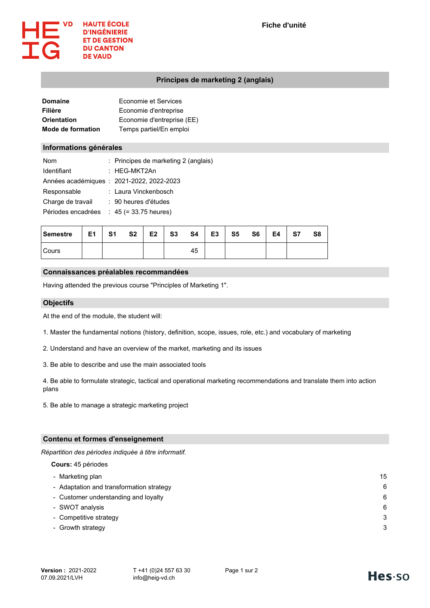

## **Principes de marketing 2 (anglais)**

| Domaine                  | Economie et Services       |
|--------------------------|----------------------------|
| Filière                  | Economie d'entreprise      |
| Orientation              | Economie d'entreprise (EE) |
| <b>Mode de formation</b> | Temps partiel/En emploi    |

### **Informations générales**

| <b>Nom</b>         | : Principes de marketing 2 (anglais)      |
|--------------------|-------------------------------------------|
| Identifiant        | : HEG-MKT2An                              |
|                    | Années académiques : 2021-2022, 2022-2023 |
| Responsable        | : Laura Vinckenbosch                      |
| Charge de travail  | : 90 heures d'études                      |
| Périodes encadrées | $: 45 (= 33.75$ heures)                   |

| Semestre | E1 | S1 | S <sub>2</sub> | E <sub>2</sub> | S <sub>3</sub> | S4 | E <sub>3</sub> | S <sub>5</sub> | S <sub>6</sub> | E4 | S7 | S <sub>8</sub> |
|----------|----|----|----------------|----------------|----------------|----|----------------|----------------|----------------|----|----|----------------|
| l Cours  |    |    |                |                |                | 45 |                |                |                |    |    |                |

### **Connaissances préalables recommandées**

Having attended the previous course "Principles of Marketing 1".

### **Objectifs**

At the end of the module, the student will:

- 1. Master the fundamental notions (history, definition, scope, issues, role, etc.) and vocabulary of marketing
- 2. Understand and have an overview of the market, marketing and its issues
- 3. Be able to describe and use the main associated tools

4. Be able to formulate strategic, tactical and operational marketing recommendations and translate them into action plans

5. Be able to manage a strategic marketing project

# **Contenu et formes d'enseignement**

*Répartition des périodes indiquée à titre informatif.*

**Cours:** 45 périodes

| - Marketing plan                         | 15 |
|------------------------------------------|----|
| - Adaptation and transformation strategy | 6  |
| - Customer understanding and loyalty     | 6  |
| - SWOT analysis                          | 6  |
| - Competitive strategy                   | 3  |
| - Growth strategy                        | 3  |